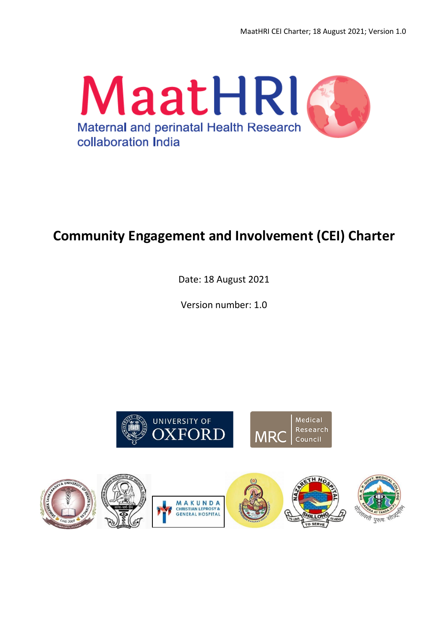

# **Community Engagement and Involvement (CEI) Charter**

Date: 18 August 2021

Version number: 1.0



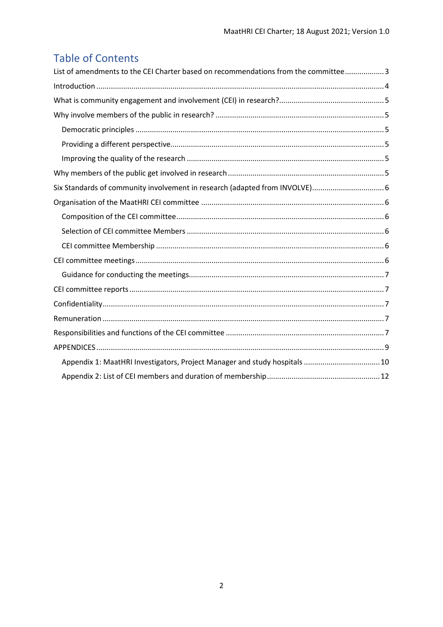## **Table of Contents**

| List of amendments to the CEI Charter based on recommendations from the committee3 |  |
|------------------------------------------------------------------------------------|--|
|                                                                                    |  |
|                                                                                    |  |
|                                                                                    |  |
|                                                                                    |  |
|                                                                                    |  |
|                                                                                    |  |
|                                                                                    |  |
| Six Standards of community involvement in research (adapted from INVOLVE) 6        |  |
|                                                                                    |  |
|                                                                                    |  |
|                                                                                    |  |
|                                                                                    |  |
|                                                                                    |  |
|                                                                                    |  |
|                                                                                    |  |
|                                                                                    |  |
|                                                                                    |  |
|                                                                                    |  |
|                                                                                    |  |
| Appendix 1: MaatHRI Investigators, Project Manager and study hospitals  10         |  |
|                                                                                    |  |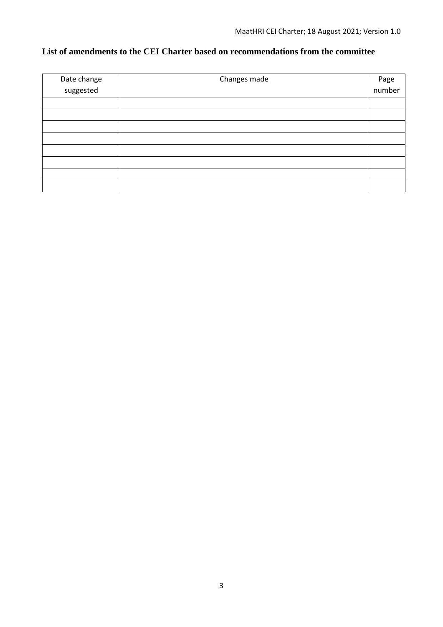## <span id="page-2-0"></span>**List of amendments to the CEI Charter based on recommendations from the committee**

| Date change | Changes made | Page   |
|-------------|--------------|--------|
| suggested   |              | number |
|             |              |        |
|             |              |        |
|             |              |        |
|             |              |        |
|             |              |        |
|             |              |        |
|             |              |        |
|             |              |        |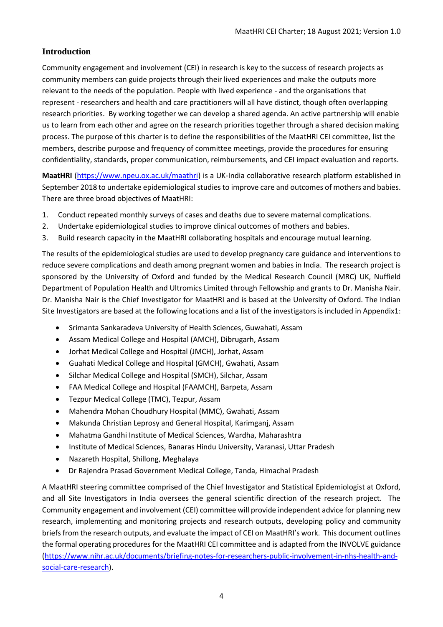## <span id="page-3-0"></span>**Introduction**

Community engagement and involvement (CEI) in research is key to the success of research projects as community members can guide projects through their lived experiences and make the outputs more relevant to the needs of the population. People with lived experience - and the organisations that represent - researchers and health and care practitioners will all have distinct, though often overlapping research priorities. By working together we can develop a shared agenda. An active partnership will enable us to learn from each other and agree on the research priorities together through a shared decision making process. The purpose of this charter is to define the responsibilities of the MaatHRI CEI committee, list the members, describe purpose and frequency of committee meetings, provide the procedures for ensuring confidentiality, standards, proper communication, reimbursements, and CEI impact evaluation and reports.

**MaatHRI** [\(https://www.npeu.ox.ac.uk/maathri\)](https://www.npeu.ox.ac.uk/maathri) is a UK-India collaborative research platform established in September 2018 to undertake epidemiological studies to improve care and outcomes of mothers and babies. There are three broad objectives of MaatHRI:

- 1. Conduct repeated monthly surveys of cases and deaths due to severe maternal complications.
- 2. Undertake epidemiological studies to improve clinical outcomes of mothers and babies.
- 3. Build research capacity in the MaatHRI collaborating hospitals and encourage mutual learning.

The results of the epidemiological studies are used to develop pregnancy care guidance and interventions to reduce severe complications and death among pregnant women and babies in India. The research project is sponsored by the University of Oxford and funded by the Medical Research Council (MRC) UK, Nuffield Department of Population Health and Ultromics Limited through Fellowship and grants to Dr. Manisha Nair. Dr. Manisha Nair is the Chief Investigator for MaatHRI and is based at the University of Oxford. The Indian Site Investigators are based at the following locations and a list of the investigators is included in Appendix1:

- Srimanta Sankaradeva University of Health Sciences, Guwahati, Assam
- Assam Medical College and Hospital (AMCH), Dibrugarh, Assam
- Jorhat Medical College and Hospital (JMCH), Jorhat, Assam
- Guahati Medical College and Hospital (GMCH), Gwahati, Assam
- Silchar Medical College and Hospital (SMCH), Silchar, Assam
- FAA Medical College and Hospital (FAAMCH), Barpeta, Assam
- Tezpur Medical College (TMC), Tezpur, Assam
- Mahendra Mohan Choudhury Hospital (MMC), Gwahati, Assam
- Makunda Christian Leprosy and General Hospital, Karimganj, Assam
- Mahatma Gandhi Institute of Medical Sciences, Wardha, Maharashtra
- Institute of Medical Sciences, Banaras Hindu University, Varanasi, Uttar Pradesh
- Nazareth Hospital, Shillong, Meghalaya
- Dr Rajendra Prasad Government Medical College, Tanda, Himachal Pradesh

A MaatHRI steering committee comprised of the Chief Investigator and Statistical Epidemiologist at Oxford, and all Site Investigators in India oversees the general scientific direction of the research project. The Community engagement and involvement (CEI) committee will provide independent advice for planning new research, implementing and monitoring projects and research outputs, developing policy and community briefs from the research outputs, and evaluate the impact of CEI on MaatHRI's work. This document outlines the formal operating procedures for the MaatHRI CEI committee and is adapted from the INVOLVE guidance [\(https://www.nihr.ac.uk/documents/briefing-notes-for-researchers-public-involvement-in-nhs-health-and](https://www.nihr.ac.uk/documents/briefing-notes-for-researchers-public-involvement-in-nhs-health-and-social-care-research)[social-care-research\)](https://www.nihr.ac.uk/documents/briefing-notes-for-researchers-public-involvement-in-nhs-health-and-social-care-research).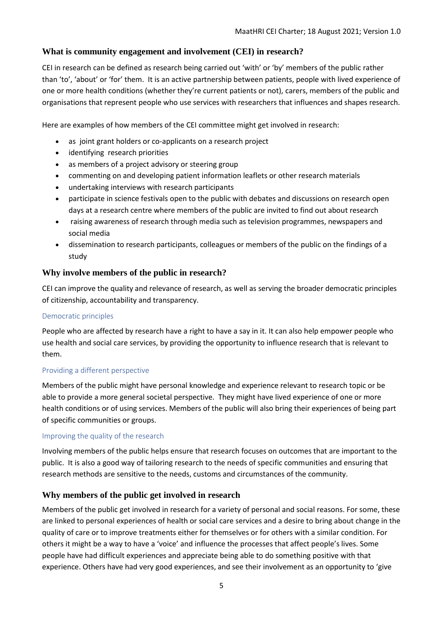## <span id="page-4-0"></span>**What is community engagement and involvement (CEI) in research?**

CEI in research can be defined as research being carried out 'with' or 'by' members of the public rather than 'to', 'about' or 'for' them. It is an active partnership between patients, people with lived experience of one or more health conditions (whether they're current patients or not), carers, members of the public and organisations that represent people who use services with researchers that influences and shapes research.

Here are examples of how members of the CEI committee might get involved in research:

- as joint grant holders or co-applicants on a research project
- identifying research priorities
- as members of a project advisory or steering group
- commenting on and developing patient information leaflets or other research materials
- undertaking interviews with research participants
- participate in science festivals open to the public with debates and discussions on research open days at a research centre where members of the public are invited to find out about research
- raising awareness of research through media such as television programmes, newspapers and social media
- dissemination to research participants, colleagues or members of the public on the findings of a study

#### <span id="page-4-1"></span>**Why involve members of the public in research?**

CEI can improve the quality and relevance of research, as well as serving the broader democratic principles of citizenship, accountability and transparency.

#### <span id="page-4-2"></span>Democratic principles

People who are affected by research have a right to have a say in it. It can also help empower people who use health and social care services, by providing the opportunity to influence research that is relevant to them.

#### <span id="page-4-3"></span>Providing a different perspective

Members of the public might have personal knowledge and experience relevant to research topic or be able to provide a more general societal perspective. They might have lived experience of one or more health conditions or of using services. Members of the public will also bring their experiences of being part of specific communities or groups.

#### <span id="page-4-4"></span>Improving the quality of the research

Involving members of the public helps ensure that research focuses on outcomes that are important to the public. It is also a good way of tailoring research to the needs of specific communities and ensuring that research methods are sensitive to the needs, customs and circumstances of the community.

## <span id="page-4-5"></span>**Why members of the public get involved in research**

Members of the public get involved in research for a variety of personal and social reasons. For some, these are linked to personal experiences of health or social care services and a desire to bring about change in the quality of care or to improve treatments either for themselves or for others with a similar condition. For others it might be a way to have a 'voice' and influence the processes that affect people's lives. Some people have had difficult experiences and appreciate being able to do something positive with that experience. Others have had very good experiences, and see their involvement as an opportunity to 'give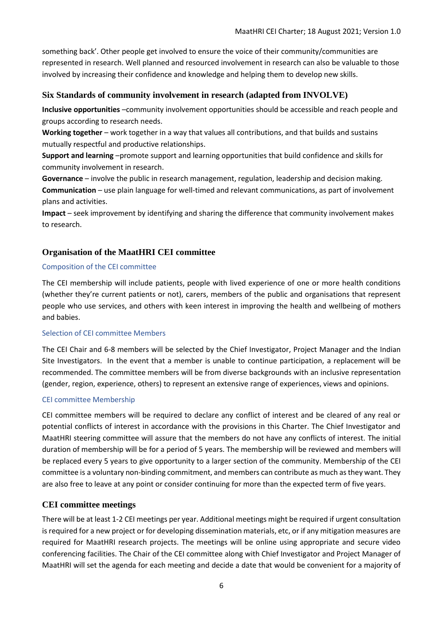something back'. Other people get involved to ensure the voice of their community/communities are represented in research. Well planned and resourced involvement in research can also be valuable to those involved by increasing their confidence and knowledge and helping them to develop new skills.

#### <span id="page-5-0"></span>**Six Standards of community involvement in research (adapted from INVOLVE)**

**Inclusive opportunities** –community involvement opportunities should be accessible and reach people and groups according to research needs.

**Working together** – work together in a way that values all contributions, and that builds and sustains mutually respectful and productive relationships.

**Support and learning** –promote support and learning opportunities that build confidence and skills for community involvement in research.

**Governance** – involve the public in research management, regulation, leadership and decision making. **Communication** – use plain language for well-timed and relevant communications, as part of involvement plans and activities.

**Impact** – seek improvement by identifying and sharing the difference that community involvement makes to research.

## <span id="page-5-1"></span>**Organisation of the MaatHRI CEI committee**

#### <span id="page-5-2"></span>Composition of the CEI committee

The CEI membership will include patients, people with lived experience of one or more health conditions (whether they're current patients or not), carers, members of the public and organisations that represent people who use services, and others with keen interest in improving the health and wellbeing of mothers and babies.

#### <span id="page-5-3"></span>Selection of CEI committee Members

The CEI Chair and 6-8 members will be selected by the Chief Investigator, Project Manager and the Indian Site Investigators. In the event that a member is unable to continue participation, a replacement will be recommended. The committee members will be from diverse backgrounds with an inclusive representation (gender, region, experience, others) to represent an extensive range of experiences, views and opinions.

#### <span id="page-5-4"></span>CEI committee Membership

CEI committee members will be required to declare any conflict of interest and be cleared of any real or potential conflicts of interest in accordance with the provisions in this Charter. The Chief Investigator and MaatHRI steering committee will assure that the members do not have any conflicts of interest. The initial duration of membership will be for a period of 5 years. The membership will be reviewed and members will be replaced every 5 years to give opportunity to a larger section of the community. Membership of the CEI committee is a voluntary non-binding commitment, and members can contribute as much as they want. They are also free to leave at any point or consider continuing for more than the expected term of five years.

## <span id="page-5-5"></span>**CEI committee meetings**

There will be at least 1-2 CEI meetings per year. Additional meetings might be required if urgent consultation is required for a new project or for developing dissemination materials, etc, or if any mitigation measures are required for MaatHRI research projects. The meetings will be online using appropriate and secure video conferencing facilities. The Chair of the CEI committee along with Chief Investigator and Project Manager of MaatHRI will set the agenda for each meeting and decide a date that would be convenient for a majority of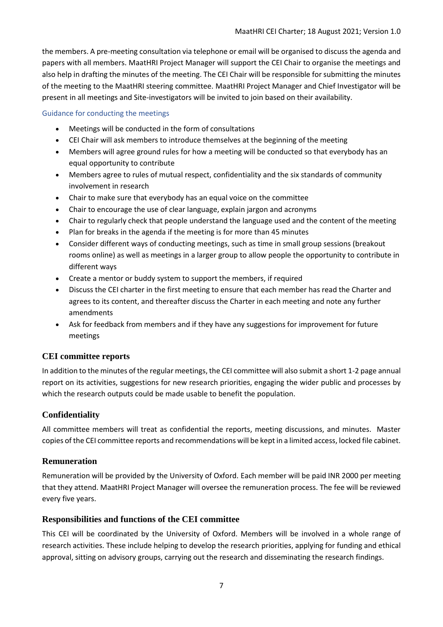the members. A pre-meeting consultation via telephone or email will be organised to discuss the agenda and papers with all members. MaatHRI Project Manager will support the CEI Chair to organise the meetings and also help in drafting the minutes of the meeting. The CEI Chair will be responsible for submitting the minutes of the meeting to the MaatHRI steering committee. MaatHRI Project Manager and Chief Investigator will be present in all meetings and Site-investigators will be invited to join based on their availability.

#### <span id="page-6-0"></span>Guidance for conducting the meetings

- Meetings will be conducted in the form of consultations
- CEI Chair will ask members to introduce themselves at the beginning of the meeting
- Members will agree ground rules for how a meeting will be conducted so that everybody has an equal opportunity to contribute
- Members agree to rules of mutual respect, confidentiality and the six standards of community involvement in research
- Chair to make sure that everybody has an equal voice on the committee
- Chair to encourage the use of clear language, explain jargon and acronyms
- Chair to regularly check that people understand the language used and the content of the meeting
- Plan for breaks in the agenda if the meeting is for more than 45 minutes
- Consider different ways of conducting meetings, such as time in small group sessions (breakout rooms online) as well as meetings in a larger group to allow people the opportunity to contribute in different ways
- Create a mentor or buddy system to support the members, if required
- Discuss the CEI charter in the first meeting to ensure that each member has read the Charter and agrees to its content, and thereafter discuss the Charter in each meeting and note any further amendments
- Ask for feedback from members and if they have any suggestions for improvement for future meetings

## <span id="page-6-1"></span>**CEI committee reports**

In addition to the minutes of the regular meetings, the CEI committee will also submit a short 1-2 page annual report on its activities, suggestions for new research priorities, engaging the wider public and processes by which the research outputs could be made usable to benefit the population.

## <span id="page-6-2"></span>**Confidentiality**

All committee members will treat as confidential the reports, meeting discussions, and minutes. Master copies of the CEI committee reports and recommendations will be kept in a limited access, locked file cabinet.

## <span id="page-6-3"></span>**Remuneration**

Remuneration will be provided by the University of Oxford. Each member will be paid INR 2000 per meeting that they attend. MaatHRI Project Manager will oversee the remuneration process. The fee will be reviewed every five years.

## <span id="page-6-4"></span>**Responsibilities and functions of the CEI committee**

This CEI will be coordinated by the University of Oxford. Members will be involved in a whole range of research activities. These include helping to develop the research priorities, applying for funding and ethical approval, sitting on advisory groups, carrying out the research and disseminating the research findings.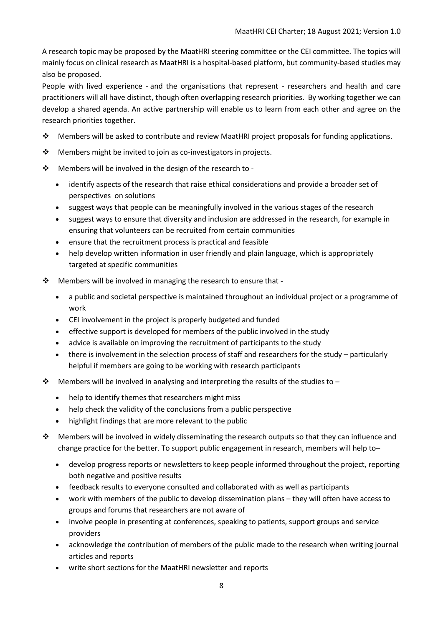A research topic may be proposed by the MaatHRI steering committee or the CEI committee. The topics will mainly focus on clinical research as MaatHRI is a hospital-based platform, but community-based studies may also be proposed.

People with lived experience - and the organisations that represent - researchers and health and care practitioners will all have distinct, though often overlapping research priorities. By working together we can develop a shared agenda. An active partnership will enable us to learn from each other and agree on the research priorities together.

- $\div$  Members will be asked to contribute and review MaatHRI project proposals for funding applications.
- $\mathbf{\hat{P}}$  Members might be invited to join as co-investigators in projects.
- Members will be involved in the design of the research to
	- identify aspects of the research that raise ethical considerations and provide a broader set of perspectives on solutions
	- suggest ways that people can be meaningfully involved in the various stages of the research
	- suggest ways to ensure that diversity and inclusion are addressed in the research, for example in ensuring that volunteers can be recruited from certain communities
	- ensure that the recruitment process is practical and feasible
	- help develop written information in user friendly and plain language, which is appropriately targeted at specific communities
- \* Members will be involved in managing the research to ensure that
	- a public and societal perspective is maintained throughout an individual project or a programme of work
	- CEI involvement in the project is properly budgeted and funded
	- effective support is developed for members of the public involved in the study
	- advice is available on improving the recruitment of participants to the study
	- there is involvement in the selection process of staff and researchers for the study particularly helpful if members are going to be working with research participants
- $\clubsuit$  Members will be involved in analysing and interpreting the results of the studies to
	- help to identify themes that researchers might miss
	- help check the validity of the conclusions from a public perspective
	- highlight findings that are more relevant to the public
- $\bullet$  Members will be involved in widely disseminating the research outputs so that they can influence and change practice for the better. To support public engagement in research, members will help to–
	- develop progress reports or newsletters to keep people informed throughout the project, reporting both negative and positive results
	- feedback results to everyone consulted and collaborated with as well as participants
	- work with members of the public to develop dissemination plans they will often have access to groups and forums that researchers are not aware of
	- involve people in presenting at conferences, speaking to patients, support groups and service providers
	- acknowledge the contribution of members of the public made to the research when writing journal articles and reports
	- write short sections for the MaatHRI newsletter and reports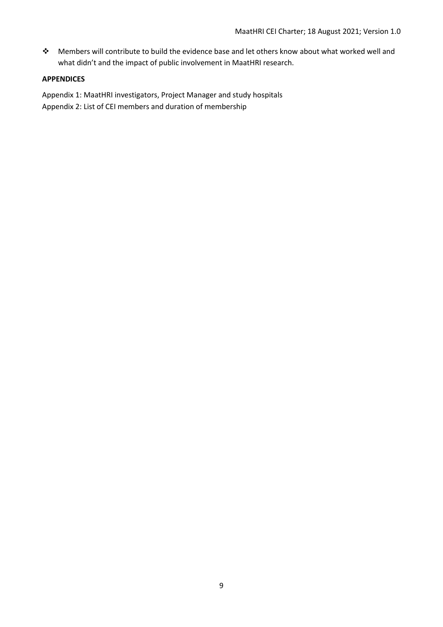Members will contribute to build the evidence base and let others know about what worked well and what didn't and the impact of public involvement in MaatHRI research.

#### <span id="page-8-0"></span>**APPENDICES**

Appendix 1: MaatHRI investigators, Project Manager and study hospitals Appendix 2: List of CEI members and duration of membership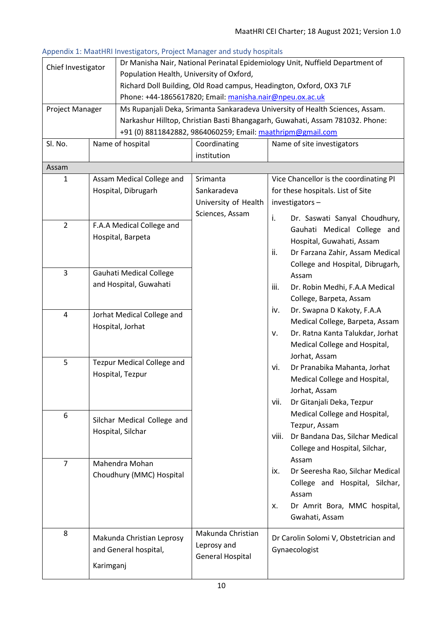|                                        |           | Appendix 1. Maathin investigators, rroject manager and study nospitals        |                                                                               |                                          |  |  |
|----------------------------------------|-----------|-------------------------------------------------------------------------------|-------------------------------------------------------------------------------|------------------------------------------|--|--|
| Chief Investigator                     |           | Dr Manisha Nair, National Perinatal Epidemiology Unit, Nuffield Department of |                                                                               |                                          |  |  |
|                                        |           | Population Health, University of Oxford,                                      |                                                                               |                                          |  |  |
|                                        |           | Richard Doll Building, Old Road campus, Headington, Oxford, OX3 7LF           |                                                                               |                                          |  |  |
|                                        |           | Phone: +44-1865617820; Email: manisha.nair@npeu.ox.ac.uk                      |                                                                               |                                          |  |  |
| Project Manager                        |           |                                                                               | Ms Rupanjali Deka, Srimanta Sankaradeva University of Health Sciences, Assam. |                                          |  |  |
|                                        |           |                                                                               | Narkashur Hilltop, Christian Basti Bhangagarh, Guwahati, Assam 781032. Phone: |                                          |  |  |
|                                        |           |                                                                               | +91 (0) 8811842882, 9864060259; Email: maathripm@gmail.com                    |                                          |  |  |
| Sl. No.                                |           | Name of hospital                                                              | Coordinating                                                                  | Name of site investigators               |  |  |
|                                        |           |                                                                               | institution                                                                   |                                          |  |  |
| Assam                                  |           |                                                                               |                                                                               |                                          |  |  |
| 1                                      |           | Assam Medical College and                                                     | Srimanta                                                                      | Vice Chancellor is the coordinating PI   |  |  |
|                                        |           | Hospital, Dibrugarh                                                           | Sankaradeva                                                                   | for these hospitals. List of Site        |  |  |
|                                        |           |                                                                               | University of Health                                                          | investigators-                           |  |  |
|                                        |           |                                                                               |                                                                               |                                          |  |  |
|                                        |           |                                                                               | Sciences, Assam                                                               | i.<br>Dr. Saswati Sanyal Choudhury,      |  |  |
| $\overline{2}$                         |           | F.A.A Medical College and                                                     |                                                                               | Gauhati Medical College and              |  |  |
|                                        |           | Hospital, Barpeta                                                             |                                                                               | Hospital, Guwahati, Assam                |  |  |
|                                        |           |                                                                               |                                                                               | ii.<br>Dr Farzana Zahir, Assam Medical   |  |  |
|                                        |           |                                                                               |                                                                               | College and Hospital, Dibrugarh,         |  |  |
| 3                                      |           | Gauhati Medical College                                                       |                                                                               | Assam                                    |  |  |
|                                        |           | and Hospital, Guwahati                                                        |                                                                               | iii.<br>Dr. Robin Medhi, F.A.A Medical   |  |  |
|                                        |           |                                                                               |                                                                               | College, Barpeta, Assam                  |  |  |
|                                        |           |                                                                               |                                                                               |                                          |  |  |
| 4<br>Jorhat Medical College and        |           |                                                                               | iv.<br>Dr. Swapna D Kakoty, F.A.A                                             |                                          |  |  |
| Hospital, Jorhat                       |           |                                                                               | Medical College, Barpeta, Assam                                               |                                          |  |  |
|                                        |           |                                                                               |                                                                               | Dr. Ratna Kanta Talukdar, Jorhat<br>v.   |  |  |
|                                        |           |                                                                               |                                                                               | Medical College and Hospital,            |  |  |
| 5<br><b>Tezpur Medical College and</b> |           |                                                                               | Jorhat, Assam                                                                 |                                          |  |  |
|                                        |           | Hospital, Tezpur                                                              |                                                                               | Dr Pranabika Mahanta, Jorhat<br>vi.      |  |  |
|                                        |           |                                                                               |                                                                               | Medical College and Hospital,            |  |  |
|                                        |           |                                                                               |                                                                               | Jorhat, Assam                            |  |  |
|                                        |           |                                                                               |                                                                               | vii.<br>Dr Gitanjali Deka, Tezpur        |  |  |
| 6                                      |           |                                                                               |                                                                               | Medical College and Hospital,            |  |  |
|                                        |           | Silchar Medical College and                                                   |                                                                               | Tezpur, Assam                            |  |  |
|                                        |           | Hospital, Silchar                                                             |                                                                               | viii.<br>Dr Bandana Das, Silchar Medical |  |  |
|                                        |           |                                                                               |                                                                               | College and Hospital, Silchar,           |  |  |
|                                        |           |                                                                               |                                                                               | Assam                                    |  |  |
| $\overline{7}$                         |           | Mahendra Mohan                                                                |                                                                               | Dr Seeresha Rao, Silchar Medical<br>ix.  |  |  |
|                                        |           | Choudhury (MMC) Hospital                                                      |                                                                               |                                          |  |  |
|                                        |           |                                                                               |                                                                               | College and Hospital, Silchar,           |  |  |
|                                        |           |                                                                               |                                                                               | Assam                                    |  |  |
|                                        |           |                                                                               |                                                                               | Dr Amrit Bora, MMC hospital,<br>х.       |  |  |
|                                        |           |                                                                               |                                                                               | Gwahati, Assam                           |  |  |
| 8                                      |           |                                                                               | Makunda Christian                                                             |                                          |  |  |
|                                        |           | Makunda Christian Leprosy                                                     | Leprosy and                                                                   | Dr Carolin Solomi V, Obstetrician and    |  |  |
|                                        |           | and General hospital,                                                         | <b>General Hospital</b>                                                       | Gynaecologist                            |  |  |
|                                        | Karimganj |                                                                               |                                                                               |                                          |  |  |
|                                        |           |                                                                               |                                                                               |                                          |  |  |

#### <span id="page-9-0"></span>Appendix 1: MaatHRI Investigators, Project Manager and study hospitals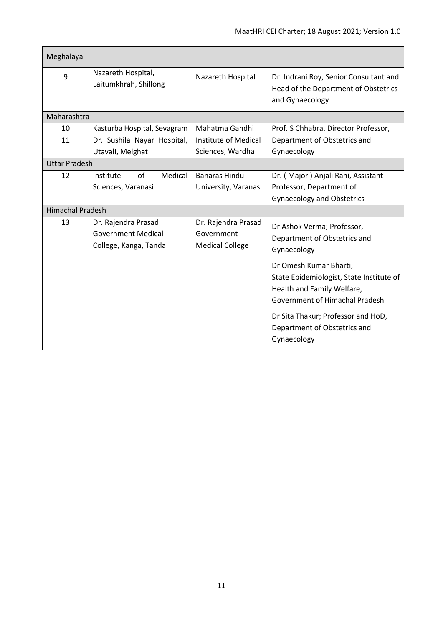| Meghalaya               |                                                                           |                                                             |                                                                                                                                    |  |  |
|-------------------------|---------------------------------------------------------------------------|-------------------------------------------------------------|------------------------------------------------------------------------------------------------------------------------------------|--|--|
| 9                       | Nazareth Hospital,<br>Laitumkhrah, Shillong                               | Nazareth Hospital                                           | Dr. Indrani Roy, Senior Consultant and<br>Head of the Department of Obstetrics<br>and Gynaecology                                  |  |  |
| Maharashtra             |                                                                           |                                                             |                                                                                                                                    |  |  |
| 10                      | Mahatma Gandhi<br>Kasturba Hospital, Sevagram                             |                                                             | Prof. S Chhabra, Director Professor,                                                                                               |  |  |
| 11                      | Dr. Sushila Nayar Hospital,                                               | Institute of Medical                                        | Department of Obstetrics and                                                                                                       |  |  |
|                         | Utavali, Melghat                                                          | Sciences, Wardha                                            | Gynaecology                                                                                                                        |  |  |
| <b>Uttar Pradesh</b>    |                                                                           |                                                             |                                                                                                                                    |  |  |
| 12                      | of<br>Medical<br>Institute                                                | <b>Banaras Hindu</b>                                        | Dr. (Major) Anjali Rani, Assistant                                                                                                 |  |  |
|                         | Sciences, Varanasi                                                        | University, Varanasi                                        | Professor, Department of                                                                                                           |  |  |
|                         |                                                                           |                                                             | <b>Gynaecology and Obstetrics</b>                                                                                                  |  |  |
| <b>Himachal Pradesh</b> |                                                                           |                                                             |                                                                                                                                    |  |  |
| 13                      | Dr. Rajendra Prasad<br><b>Government Medical</b><br>College, Kanga, Tanda | Dr. Rajendra Prasad<br>Government<br><b>Medical College</b> | Dr Ashok Verma; Professor,<br>Department of Obstetrics and<br>Gynaecology                                                          |  |  |
|                         |                                                                           |                                                             | Dr Omesh Kumar Bharti;<br>State Epidemiologist, State Institute of<br>Health and Family Welfare,<br>Government of Himachal Pradesh |  |  |
|                         |                                                                           |                                                             | Dr Sita Thakur; Professor and HoD,<br>Department of Obstetrics and<br>Gynaecology                                                  |  |  |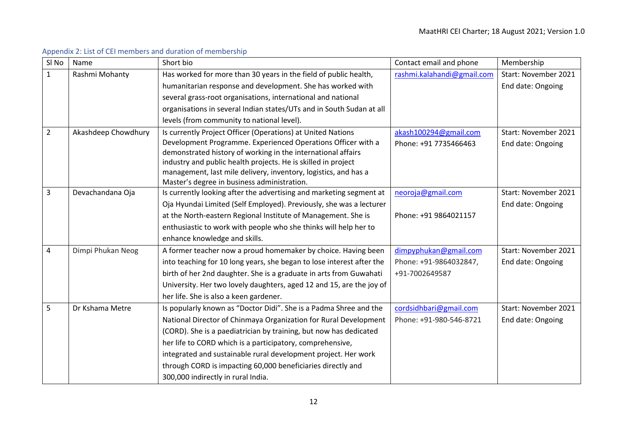<span id="page-11-0"></span>

| SI <sub>No</sub> | Name                | Short bio                                                                                                                        | Contact email and phone    | Membership           |
|------------------|---------------------|----------------------------------------------------------------------------------------------------------------------------------|----------------------------|----------------------|
| $\mathbf{1}$     | Rashmi Mohanty      | Has worked for more than 30 years in the field of public health,                                                                 | rashmi.kalahandi@gmail.com | Start: November 2021 |
|                  |                     | humanitarian response and development. She has worked with                                                                       |                            | End date: Ongoing    |
|                  |                     | several grass-root organisations, international and national                                                                     |                            |                      |
|                  |                     | organisations in several Indian states/UTs and in South Sudan at all                                                             |                            |                      |
|                  |                     | levels (from community to national level).                                                                                       |                            |                      |
| $\overline{2}$   | Akashdeep Chowdhury | Is currently Project Officer (Operations) at United Nations                                                                      | akash100294@gmail.com      | Start: November 2021 |
|                  |                     | Development Programme. Experienced Operations Officer with a                                                                     | Phone: +91 7735466463      | End date: Ongoing    |
|                  |                     | demonstrated history of working in the international affairs                                                                     |                            |                      |
|                  |                     | industry and public health projects. He is skilled in project<br>management, last mile delivery, inventory, logistics, and has a |                            |                      |
|                  |                     | Master's degree in business administration.                                                                                      |                            |                      |
| 3                | Devachandana Oja    | Is currently looking after the advertising and marketing segment at                                                              | neoroja@gmail.com          | Start: November 2021 |
|                  |                     | Oja Hyundai Limited (Self Employed). Previously, she was a lecturer                                                              |                            | End date: Ongoing    |
|                  |                     | at the North-eastern Regional Institute of Management. She is                                                                    | Phone: +91 9864021157      |                      |
|                  |                     | enthusiastic to work with people who she thinks will help her to                                                                 |                            |                      |
|                  |                     | enhance knowledge and skills.                                                                                                    |                            |                      |
| 4                | Dimpi Phukan Neog   | A former teacher now a proud homemaker by choice. Having been                                                                    | dimpyphukan@gmail.com      | Start: November 2021 |
|                  |                     | into teaching for 10 long years, she began to lose interest after the                                                            | Phone: +91-9864032847,     | End date: Ongoing    |
|                  |                     | birth of her 2nd daughter. She is a graduate in arts from Guwahati                                                               | +91-7002649587             |                      |
|                  |                     | University. Her two lovely daughters, aged 12 and 15, are the joy of                                                             |                            |                      |
|                  |                     | her life. She is also a keen gardener.                                                                                           |                            |                      |
| 5                | Dr Kshama Metre     | Is popularly known as "Doctor Didi". She is a Padma Shree and the                                                                | cordsidhbari@gmail.com     | Start: November 2021 |
|                  |                     | National Director of Chinmaya Organization for Rural Development                                                                 | Phone: +91-980-546-8721    | End date: Ongoing    |
|                  |                     | (CORD). She is a paediatrician by training, but now has dedicated                                                                |                            |                      |
|                  |                     | her life to CORD which is a participatory, comprehensive,                                                                        |                            |                      |
|                  |                     | integrated and sustainable rural development project. Her work                                                                   |                            |                      |
|                  |                     | through CORD is impacting 60,000 beneficiaries directly and                                                                      |                            |                      |
|                  |                     | 300,000 indirectly in rural India.                                                                                               |                            |                      |

## Appendix 2: List of CEI members and duration of membership